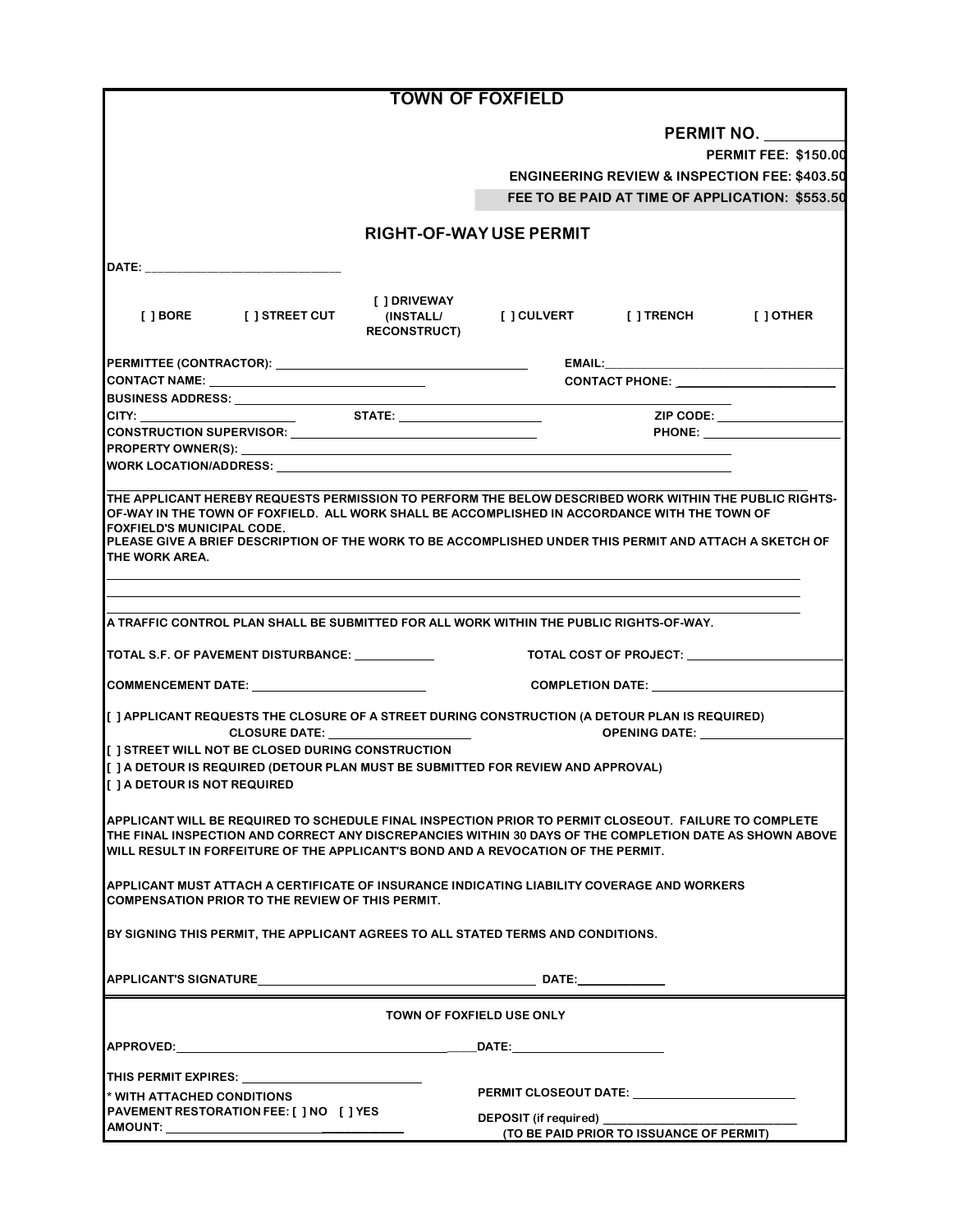|                                                                                                                                                                                                                                                                                                                                                                           |                                     | <b>TOWN OF FOXFIELD</b>                   |                                                          |                              |
|---------------------------------------------------------------------------------------------------------------------------------------------------------------------------------------------------------------------------------------------------------------------------------------------------------------------------------------------------------------------------|-------------------------------------|-------------------------------------------|----------------------------------------------------------|------------------------------|
|                                                                                                                                                                                                                                                                                                                                                                           |                                     |                                           |                                                          |                              |
|                                                                                                                                                                                                                                                                                                                                                                           |                                     | PERMIT NO.<br><b>PERMIT FEE: \$150.00</b> |                                                          |                              |
|                                                                                                                                                                                                                                                                                                                                                                           |                                     |                                           | <b>ENGINEERING REVIEW &amp; INSPECTION FEE: \$403.50</b> |                              |
|                                                                                                                                                                                                                                                                                                                                                                           |                                     |                                           | FEE TO BE PAID AT TIME OF APPLICATION: \$553.50          |                              |
|                                                                                                                                                                                                                                                                                                                                                                           |                                     |                                           |                                                          |                              |
|                                                                                                                                                                                                                                                                                                                                                                           |                                     | <b>RIGHT-OF-WAY USE PERMIT</b>            |                                                          |                              |
| DATE: the contract of the contract of the contract of the contract of the contract of the contract of the contract of the contract of the contract of the contract of the contract of the contract of the contract of the cont                                                                                                                                            |                                     |                                           |                                                          |                              |
|                                                                                                                                                                                                                                                                                                                                                                           |                                     |                                           |                                                          |                              |
| [ ] BORE [ ] STREET CUT                                                                                                                                                                                                                                                                                                                                                   | [ ] DRIVEWAY<br><b>RECONSTRUCT)</b> | (INSTALL/ [] CULVERT [] TRENCH [] OTHER   |                                                          |                              |
|                                                                                                                                                                                                                                                                                                                                                                           |                                     |                                           |                                                          |                              |
| CONTACT NAME: ___________________________________                                                                                                                                                                                                                                                                                                                         |                                     | CONTACT PHONE: POSTAGE PHONE PROPERTY     |                                                          |                              |
|                                                                                                                                                                                                                                                                                                                                                                           |                                     |                                           |                                                          |                              |
|                                                                                                                                                                                                                                                                                                                                                                           |                                     |                                           |                                                          | ZIP CODE: __________________ |
| CONSTRUCTION SUPERVISOR: University of Anti-<br>PROPERTY OWNER(S): New York Contract the Contract of the Contract of the Contract of the Contract of the Contract of the Contract of the Contract of the Contract of the Contract of the Contract of the Contract of the Contr                                                                                            |                                     |                                           |                                                          |                              |
|                                                                                                                                                                                                                                                                                                                                                                           |                                     |                                           |                                                          |                              |
|                                                                                                                                                                                                                                                                                                                                                                           |                                     |                                           |                                                          |                              |
| THE APPLICANT HEREBY REQUESTS PERMISSION TO PERFORM THE BELOW DESCRIBED WORK WITHIN THE PUBLIC RIGHTS-<br>OF-WAY IN THE TOWN OF FOXFIELD. ALL WORK SHALL BE ACCOMPLISHED IN ACCORDANCE WITH THE TOWN OF<br><b>FOXFIELD'S MUNICIPAL CODE.</b><br>PLEASE GIVE A BRIEF DESCRIPTION OF THE WORK TO BE ACCOMPLISHED UNDER THIS PERMIT AND ATTACH A SKETCH OF<br>THE WORK AREA. |                                     |                                           |                                                          |                              |
|                                                                                                                                                                                                                                                                                                                                                                           |                                     |                                           |                                                          |                              |
|                                                                                                                                                                                                                                                                                                                                                                           |                                     |                                           |                                                          |                              |
| A TRAFFIC CONTROL PLAN SHALL BE SUBMITTED FOR ALL WORK WITHIN THE PUBLIC RIGHTS-OF-WAY.                                                                                                                                                                                                                                                                                   |                                     |                                           |                                                          |                              |
|                                                                                                                                                                                                                                                                                                                                                                           |                                     |                                           |                                                          |                              |
| TOTAL S.F. OF PAVEMENT DISTURBANCE: ___________<br>TOTAL COST OF PROJECT: _______________                                                                                                                                                                                                                                                                                 |                                     |                                           |                                                          |                              |
|                                                                                                                                                                                                                                                                                                                                                                           |                                     |                                           |                                                          |                              |
| [ ] APPLICANT REQUESTS THE CLOSURE OF A STREET DURING CONSTRUCTION (A DETOUR PLAN IS REQUIRED)<br><b>CLOSURE DATE:</b> The contract of the contract of the contract of the contract of the contract of the contract of the contract of the contract of the contract of the contract of the contract of the contract of the contract o                                     |                                     |                                           |                                                          |                              |
| [ ] STREET WILL NOT BE CLOSED DURING CONSTRUCTION                                                                                                                                                                                                                                                                                                                         |                                     |                                           |                                                          |                              |
| [ ] A DETOUR IS REQUIRED (DETOUR PLAN MUST BE SUBMITTED FOR REVIEW AND APPROVAL)<br>[ ] A DETOUR IS NOT REQUIRED                                                                                                                                                                                                                                                          |                                     |                                           |                                                          |                              |
| APPLICANT WILL BE REQUIRED TO SCHEDULE FINAL INSPECTION PRIOR TO PERMIT CLOSEOUT. FAILURE TO COMPLETE<br>THE FINAL INSPECTION AND CORRECT ANY DISCREPANCIES WITHIN 30 DAYS OF THE COMPLETION DATE AS SHOWN ABOVE<br>WILL RESULT IN FORFEITURE OF THE APPLICANT'S BOND AND A REVOCATION OF THE PERMIT.                                                                     |                                     |                                           |                                                          |                              |
| APPLICANT MUST ATTACH A CERTIFICATE OF INSURANCE INDICATING LIABILITY COVERAGE AND WORKERS<br><b>COMPENSATION PRIOR TO THE REVIEW OF THIS PERMIT.</b>                                                                                                                                                                                                                     |                                     |                                           |                                                          |                              |
| BY SIGNING THIS PERMIT, THE APPLICANT AGREES TO ALL STATED TERMS AND CONDITIONS.                                                                                                                                                                                                                                                                                          |                                     |                                           |                                                          |                              |
|                                                                                                                                                                                                                                                                                                                                                                           |                                     |                                           |                                                          |                              |
| TOWN OF FOXFIELD USE ONLY                                                                                                                                                                                                                                                                                                                                                 |                                     |                                           |                                                          |                              |
| APPROVED: Note and the second state of the second state of the second state of the second state of the second state of the second state of the second state of the second state of the second state of the second state of the                                                                                                                                            |                                     |                                           |                                                          |                              |
| THIS PERMIT EXPIRES:                                                                                                                                                                                                                                                                                                                                                      |                                     |                                           |                                                          |                              |
| * WITH ATTACHED CONDITIONS                                                                                                                                                                                                                                                                                                                                                |                                     |                                           |                                                          |                              |
| PAVEMENT RESTORATION FEE: [ ] NO [ ] YES                                                                                                                                                                                                                                                                                                                                  |                                     | DEPOSIT (if required) _________           |                                                          |                              |
|                                                                                                                                                                                                                                                                                                                                                                           |                                     |                                           | (TO BE PAID PRIOR TO ISSUANCE OF PERMIT)                 |                              |